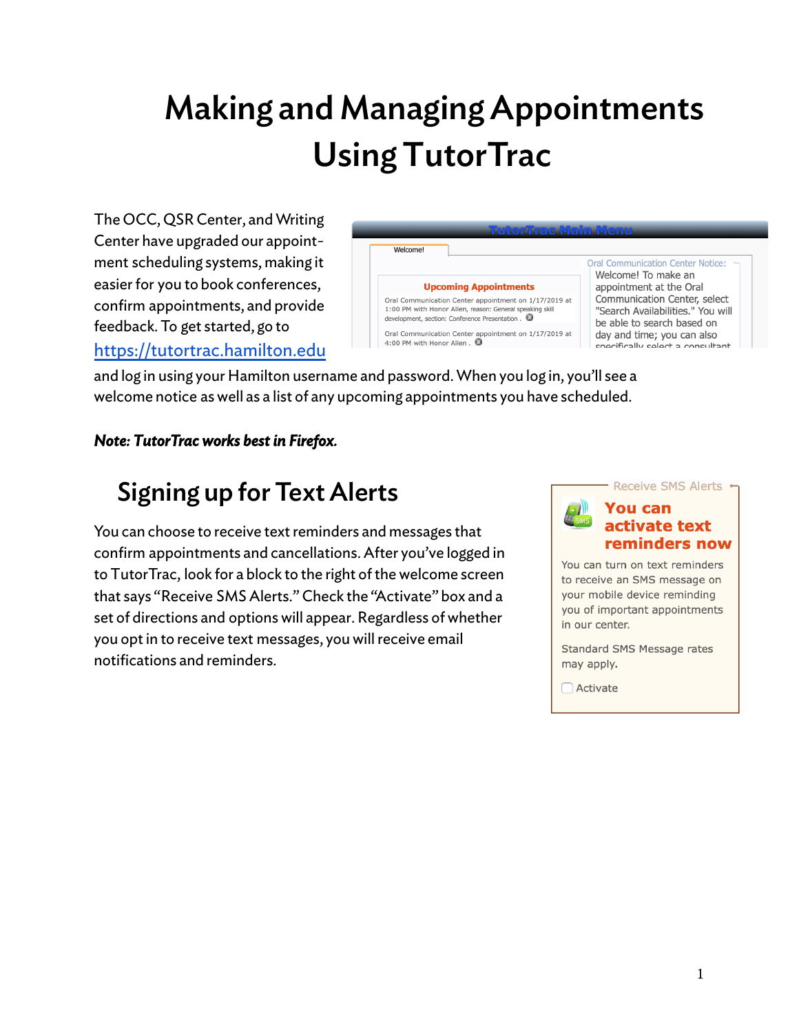# Making and Managing Appointments Using TutorTrac

 The OCC, QSR Center, and Writing Center have upgraded our appoint- ment scheduling systems, making it easier for you to book conferences, confirm appointments, and provide feedback. To get started, go to <https://tutortrac.hamilton.edu>

| TutorTrae Main Menu                                                                  |                                                                                                                                                                                                        |                                                                                                                                                                                               |  |  |
|--------------------------------------------------------------------------------------|--------------------------------------------------------------------------------------------------------------------------------------------------------------------------------------------------------|-----------------------------------------------------------------------------------------------------------------------------------------------------------------------------------------------|--|--|
| Welcome!                                                                             |                                                                                                                                                                                                        |                                                                                                                                                                                               |  |  |
|                                                                                      | <b>Upcoming Appointments</b><br>Oral Communication Center appointment on 1/17/2019 at<br>1:00 PM with Honor Allen, reason: General speaking skill<br>development, section: Conference Presentation . 3 | <b>Oral Communication Center Notice:</b><br>Welcome! To make an<br>appointment at the Oral<br>Communication Center, select<br>"Search Availabilities." You will<br>be able to search based on |  |  |
| Oral Communication Center appointment on 1/17/2019 at<br>4:00 PM with Honor Allen. 3 |                                                                                                                                                                                                        | day and time; you can also<br>coocifically coloct a concultant                                                                                                                                |  |  |

 and log in using your Hamilton username and password. When you log in, you'll see a welcome notice as well as a list of any upcoming appointments you have scheduled.

#### *Note: TutorTrac works best in Firefox.*

### Signing up for Text Alerts

You can choose to receive text reminders and messages that confirm appointments and cancellations. After you've logged in to TutorTrac, look for a block to the right of the welcome screen that says "Receive SMS Alerts." Check the "Activate" box and a set of directions and options will appear. Regardless of whether you opt in to receive text messages, you will receive email notifications and reminders.



You can turn on text reminders to receive an SMS message on your mobile device reminding you of important appointments in our center.

Standard SMS Message rates may apply.

 $\bigcap$  Activate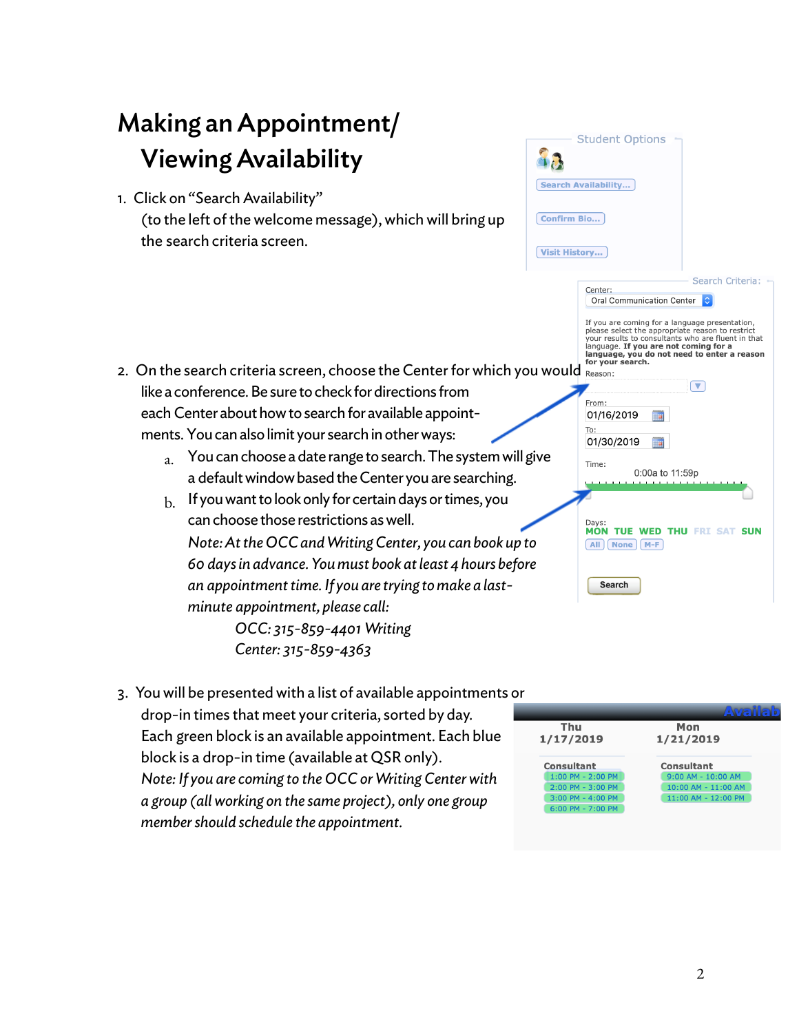

 3. You will be presented with a list of available appointments or drop-in times that meet your criteria, sorted by day. Each green block is an available appointment. Each blue block is a drop-in time (available at QSR only). *Note: If you are coming to the OCC or Writing Centerwith a group (allworking on the same project), only one group membershould schedule the appointment.*

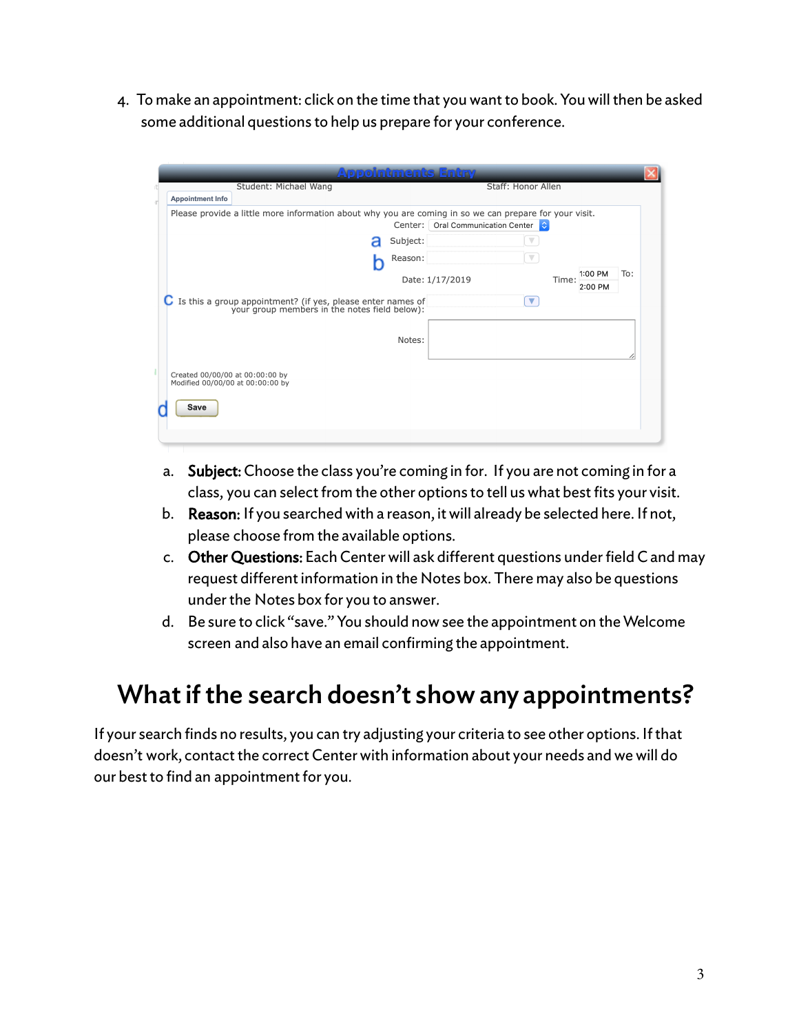4. To make an appointment: click on the time that you want to book. You will then be asked some additional questions to help us prepare for your conference.

| Student: Michael Wang                                                                                              | <b>Appointments Entry</b> | Staff: Honor Allen        |                           |
|--------------------------------------------------------------------------------------------------------------------|---------------------------|---------------------------|---------------------------|
| <b>Appointment Info</b>                                                                                            |                           |                           |                           |
| Please provide a little more information about why you are coming in so we can prepare for your visit.             | Center:                   | Oral Communication Center |                           |
|                                                                                                                    | Subject:                  |                           |                           |
|                                                                                                                    | Reason:                   |                           |                           |
|                                                                                                                    | Date: 1/17/2019           | Time:                     | 1:00 PM<br>To:<br>2:00 PM |
| <b>C</b> Is this a group appointment? (if yes, please enter names of your group members in the notes field below): |                           | $\blacktriangledown$      |                           |
|                                                                                                                    | Notes:                    |                           |                           |
| Created 00/00/00 at 00:00:00 by<br>Modified 00/00/00 at 00:00:00 by                                                |                           |                           |                           |
| Save                                                                                                               |                           |                           |                           |
|                                                                                                                    |                           |                           |                           |

- a. **Subject:** Choose the class you're coming in for. If you are not coming in for a class, you can select from the other options to tell us what best fits your visit.
- b. Reason: If you searched with a reason, it will already be selected here. If not, please choose from the available options.
- c. Other Questions: Each Center will ask different questions under field C and may request different information in the Notes box. There may also be questions under the Notes box for you to answer.
- d. Be sure to click "save." You should now see the appointment on the Welcome screen and also have an email confirming the appointment.

#### What if the search doesn't show any appointments?

 If your search finds no results, you can try adjusting your criteria to see other options. If that doesn't work, contact the correct Center with information about your needs and we will do our best to find an appointment for you.